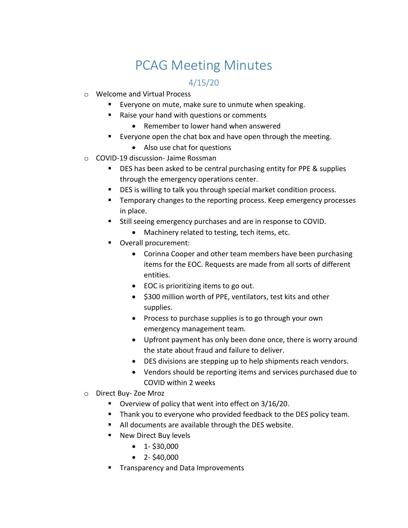## PCAG Meeting Minutes

## 4/15/20

- o Welcome and Virtual Process
	- Everyone on mute, make sure to unmute when speaking.
	- Raise your hand with questions or comments
		- Remember to lower hand when answered
	- Everyone open the chat box and have open through the meeting.
		- Also use chat for questions
- o COVID-19 discussion- Jaime Rossman
	- **DES** has been asked to be central purchasing entity for PPE & supplies through the emergency operations center.
	- DES is willing to talk you through special market condition process.
	- Temporary changes to the reporting process. Keep emergency processes in place.
	- Still seeing emergency purchases and are in response to COVID.
		- Machinery related to testing, tech items, etc.
	- Overall procurement:
		- Corinna Cooper and other team members have been purchasing items for the EOC. Requests are made from all sorts of different entities.
		- EOC is prioritizing items to go out.
		- \$300 million worth of PPE, ventilators, test kits and other supplies.
		- Process to purchase supplies is to go through your own emergency management team.
		- Upfront payment has only been done once, there is worry around the state about fraud and failure to deliver.
		- DES divisions are stepping up to help shipments reach vendors.
		- Vendors should be reporting items and services purchased due to COVID within 2 weeks
- o Direct Buy- Zoe Mroz
	- Overview of policy that went into effect on 3/16/20.
	- **Thank you to everyone who provided feedback to the DES policy team.**
	- All documents are available through the DES website.
	- **New Direct Buy levels** 
		- $\bullet$  1-\$30,000
		- $\bullet$  2-\$40,000
	- **Transparency and Data Improvements**